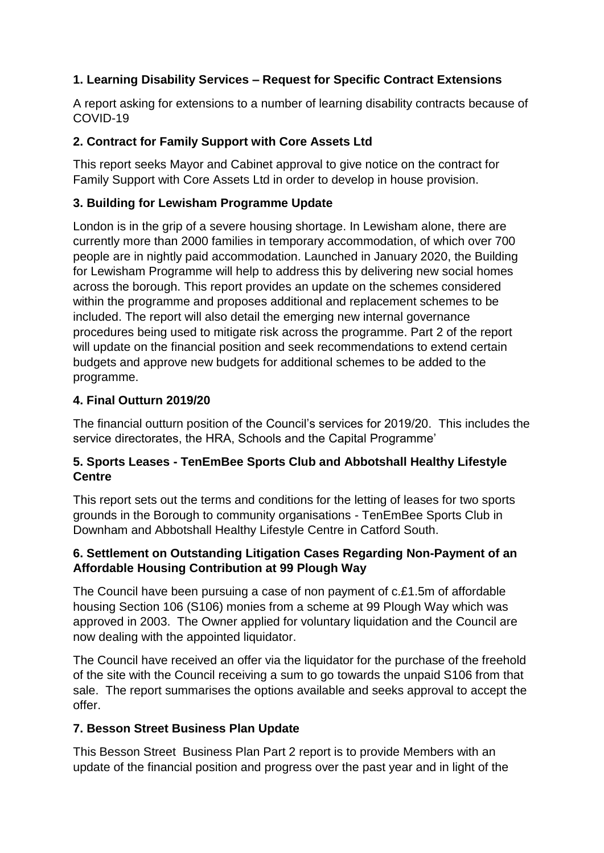# **1. Learning Disability Services – Request for Specific Contract Extensions**

A report asking for extensions to a number of learning disability contracts because of COVID-19

## **2. Contract for Family Support with Core Assets Ltd**

This report seeks Mayor and Cabinet approval to give notice on the contract for Family Support with Core Assets Ltd in order to develop in house provision.

### **3. Building for Lewisham Programme Update**

London is in the grip of a severe housing shortage. In Lewisham alone, there are currently more than 2000 families in temporary accommodation, of which over 700 people are in nightly paid accommodation. Launched in January 2020, the Building for Lewisham Programme will help to address this by delivering new social homes across the borough. This report provides an update on the schemes considered within the programme and proposes additional and replacement schemes to be included. The report will also detail the emerging new internal governance procedures being used to mitigate risk across the programme. Part 2 of the report will update on the financial position and seek recommendations to extend certain budgets and approve new budgets for additional schemes to be added to the programme.

#### **4. Final Outturn 2019/20**

The financial outturn position of the Council's services for 2019/20. This includes the service directorates, the HRA, Schools and the Capital Programme'

#### **5. Sports Leases - TenEmBee Sports Club and Abbotshall Healthy Lifestyle Centre**

This report sets out the terms and conditions for the letting of leases for two sports grounds in the Borough to community organisations - TenEmBee Sports Club in Downham and Abbotshall Healthy Lifestyle Centre in Catford South.

#### **6. Settlement on Outstanding Litigation Cases Regarding Non-Payment of an Affordable Housing Contribution at 99 Plough Way**

The Council have been pursuing a case of non payment of c.£1.5m of affordable housing Section 106 (S106) monies from a scheme at 99 Plough Way which was approved in 2003. The Owner applied for voluntary liquidation and the Council are now dealing with the appointed liquidator.

The Council have received an offer via the liquidator for the purchase of the freehold of the site with the Council receiving a sum to go towards the unpaid S106 from that sale. The report summarises the options available and seeks approval to accept the offer.

#### **7. Besson Street Business Plan Update**

This Besson Street Business Plan Part 2 report is to provide Members with an update of the financial position and progress over the past year and in light of the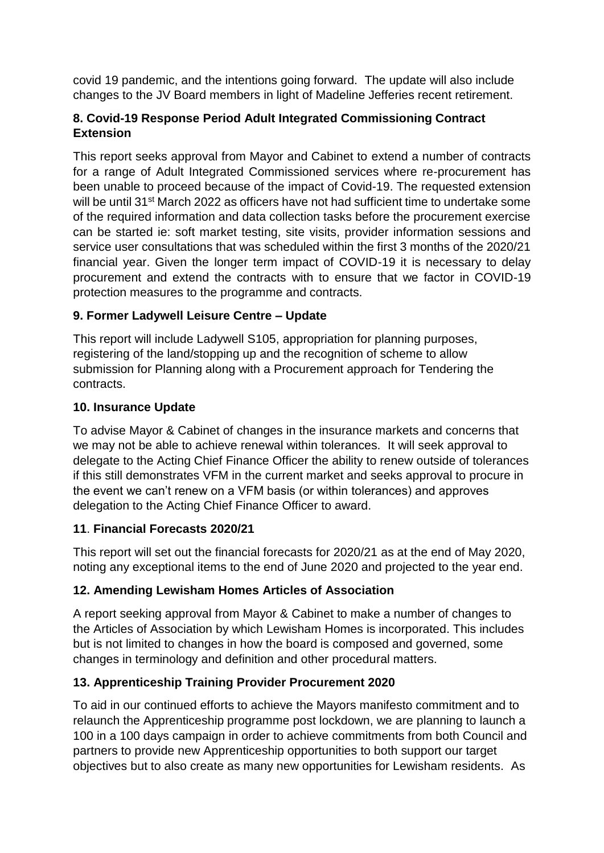covid 19 pandemic, and the intentions going forward. The update will also include changes to the JV Board members in light of Madeline Jefferies recent retirement.

## **8. Covid-19 Response Period Adult Integrated Commissioning Contract Extension**

This report seeks approval from Mayor and Cabinet to extend a number of contracts for a range of Adult Integrated Commissioned services where re-procurement has been unable to proceed because of the impact of Covid-19. The requested extension will be until 31<sup>st</sup> March 2022 as officers have not had sufficient time to undertake some of the required information and data collection tasks before the procurement exercise can be started ie: soft market testing, site visits, provider information sessions and service user consultations that was scheduled within the first 3 months of the 2020/21 financial year. Given the longer term impact of COVID-19 it is necessary to delay procurement and extend the contracts with to ensure that we factor in COVID-19 protection measures to the programme and contracts.

## **9. Former Ladywell Leisure Centre – Update**

This report will include Ladywell S105, appropriation for planning purposes, registering of the land/stopping up and the recognition of scheme to allow submission for Planning along with a Procurement approach for Tendering the contracts.

#### **10. Insurance Update**

To advise Mayor & Cabinet of changes in the insurance markets and concerns that we may not be able to achieve renewal within tolerances. It will seek approval to delegate to the Acting Chief Finance Officer the ability to renew outside of tolerances if this still demonstrates VFM in the current market and seeks approval to procure in the event we can't renew on a VFM basis (or within tolerances) and approves delegation to the Acting Chief Finance Officer to award.

#### **11**. **Financial Forecasts 2020/21**

This report will set out the financial forecasts for 2020/21 as at the end of May 2020, noting any exceptional items to the end of June 2020 and projected to the year end.

#### **12. Amending Lewisham Homes Articles of Association**

A report seeking approval from Mayor & Cabinet to make a number of changes to the Articles of Association by which Lewisham Homes is incorporated. This includes but is not limited to changes in how the board is composed and governed, some changes in terminology and definition and other procedural matters.

#### **13. Apprenticeship Training Provider Procurement 2020**

To aid in our continued efforts to achieve the Mayors manifesto commitment and to relaunch the Apprenticeship programme post lockdown, we are planning to launch a 100 in a 100 days campaign in order to achieve commitments from both Council and partners to provide new Apprenticeship opportunities to both support our target objectives but to also create as many new opportunities for Lewisham residents. As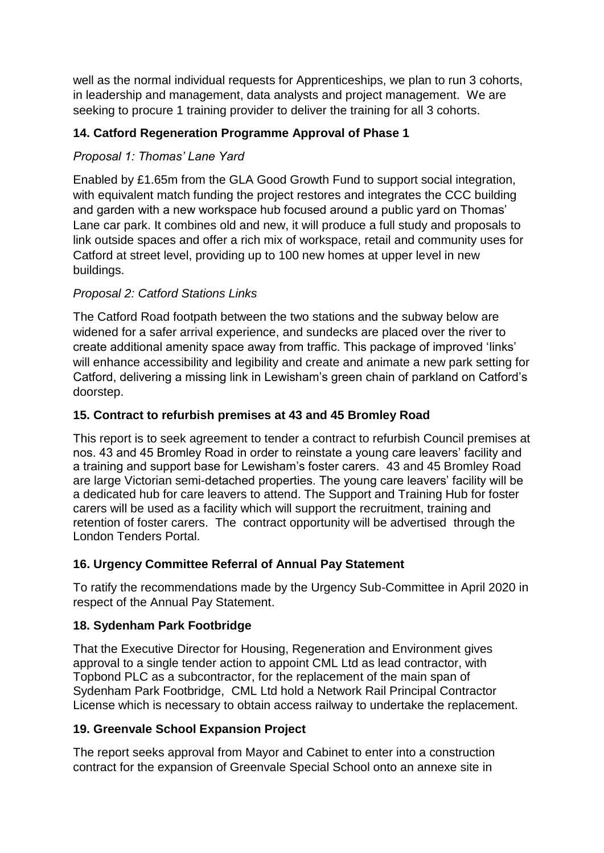well as the normal individual requests for Apprenticeships, we plan to run 3 cohorts, in leadership and management, data analysts and project management. We are seeking to procure 1 training provider to deliver the training for all 3 cohorts.

# **14. Catford Regeneration Programme Approval of Phase 1**

### *Proposal 1: Thomas' Lane Yard*

Enabled by £1.65m from the GLA Good Growth Fund to support social integration, with equivalent match funding the project restores and integrates the CCC building and garden with a new workspace hub focused around a public yard on Thomas' Lane car park. It combines old and new, it will produce a full study and proposals to link outside spaces and offer a rich mix of workspace, retail and community uses for Catford at street level, providing up to 100 new homes at upper level in new buildings.

## *Proposal 2: Catford Stations Links*

The Catford Road footpath between the two stations and the subway below are widened for a safer arrival experience, and sundecks are placed over the river to create additional amenity space away from traffic. This package of improved 'links' will enhance accessibility and legibility and create and animate a new park setting for Catford, delivering a missing link in Lewisham's green chain of parkland on Catford's doorstep.

## **15. Contract to refurbish premises at 43 and 45 Bromley Road**

This report is to seek agreement to tender a contract to refurbish Council premises at nos. 43 and 45 Bromley Road in order to reinstate a young care leavers' facility and a training and support base for Lewisham's foster carers. 43 and 45 Bromley Road are large Victorian semi-detached properties. The young care leavers' facility will be a dedicated hub for care leavers to attend. The Support and Training Hub for foster carers will be used as a facility which will support the recruitment, training and retention of foster carers. The contract opportunity will be advertised through the London Tenders Portal.

#### **16. Urgency Committee Referral of Annual Pay Statement**

To ratify the recommendations made by the Urgency Sub-Committee in April 2020 in respect of the Annual Pay Statement.

#### **18. Sydenham Park Footbridge**

That the Executive Director for Housing, Regeneration and Environment gives approval to a single tender action to appoint CML Ltd as lead contractor, with Topbond PLC as a subcontractor, for the replacement of the main span of Sydenham Park Footbridge, CML Ltd hold a Network Rail Principal Contractor License which is necessary to obtain access railway to undertake the replacement.

#### **19. Greenvale School Expansion Project**

The report seeks approval from Mayor and Cabinet to enter into a construction contract for the expansion of Greenvale Special School onto an annexe site in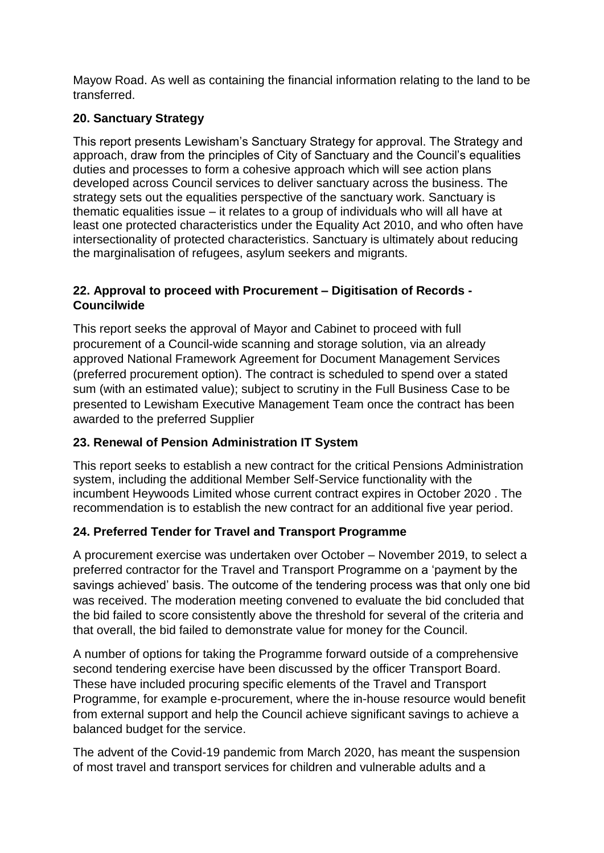Mayow Road. As well as containing the financial information relating to the land to be transferred.

### **20. Sanctuary Strategy**

This report presents Lewisham's Sanctuary Strategy for approval. The Strategy and approach, draw from the principles of City of Sanctuary and the Council's equalities duties and processes to form a cohesive approach which will see action plans developed across Council services to deliver sanctuary across the business. The strategy sets out the equalities perspective of the sanctuary work. Sanctuary is thematic equalities issue – it relates to a group of individuals who will all have at least one protected characteristics under the Equality Act 2010, and who often have intersectionality of protected characteristics. Sanctuary is ultimately about reducing the marginalisation of refugees, asylum seekers and migrants.

## **22. Approval to proceed with Procurement – Digitisation of Records - Councilwide**

This report seeks the approval of Mayor and Cabinet to proceed with full procurement of a Council-wide scanning and storage solution, via an already approved National Framework Agreement for Document Management Services (preferred procurement option). The contract is scheduled to spend over a stated sum (with an estimated value); subject to scrutiny in the Full Business Case to be presented to Lewisham Executive Management Team once the contract has been awarded to the preferred Supplier

# **23. Renewal of Pension Administration IT System**

This report seeks to establish a new contract for the critical Pensions Administration system, including the additional Member Self-Service functionality with the incumbent Heywoods Limited whose current contract expires in October 2020 . The recommendation is to establish the new contract for an additional five year period.

# **24. Preferred Tender for Travel and Transport Programme**

A procurement exercise was undertaken over October – November 2019, to select a preferred contractor for the Travel and Transport Programme on a 'payment by the savings achieved' basis. The outcome of the tendering process was that only one bid was received. The moderation meeting convened to evaluate the bid concluded that the bid failed to score consistently above the threshold for several of the criteria and that overall, the bid failed to demonstrate value for money for the Council.

A number of options for taking the Programme forward outside of a comprehensive second tendering exercise have been discussed by the officer Transport Board. These have included procuring specific elements of the Travel and Transport Programme, for example e-procurement, where the in-house resource would benefit from external support and help the Council achieve significant savings to achieve a balanced budget for the service.

The advent of the Covid-19 pandemic from March 2020, has meant the suspension of most travel and transport services for children and vulnerable adults and a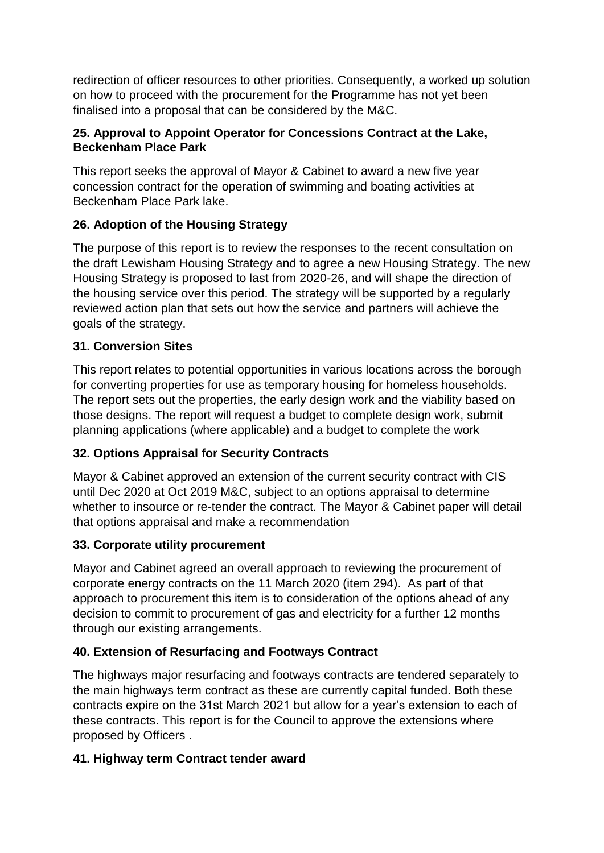redirection of officer resources to other priorities. Consequently, a worked up solution on how to proceed with the procurement for the Programme has not yet been finalised into a proposal that can be considered by the M&C.

### **25. Approval to Appoint Operator for Concessions Contract at the Lake, Beckenham Place Park**

This report seeks the approval of Mayor & Cabinet to award a new five year concession contract for the operation of swimming and boating activities at Beckenham Place Park lake.

# **26. Adoption of the Housing Strategy**

The purpose of this report is to review the responses to the recent consultation on the draft Lewisham Housing Strategy and to agree a new Housing Strategy. The new Housing Strategy is proposed to last from 2020-26, and will shape the direction of the housing service over this period. The strategy will be supported by a regularly reviewed action plan that sets out how the service and partners will achieve the goals of the strategy.

# **31. Conversion Sites**

This report relates to potential opportunities in various locations across the borough for converting properties for use as temporary housing for homeless households. The report sets out the properties, the early design work and the viability based on those designs. The report will request a budget to complete design work, submit planning applications (where applicable) and a budget to complete the work

# **32. Options Appraisal for Security Contracts**

Mayor & Cabinet approved an extension of the current security contract with CIS until Dec 2020 at Oct 2019 M&C, subject to an options appraisal to determine whether to insource or re-tender the contract. The Mayor & Cabinet paper will detail that options appraisal and make a recommendation

# **33. Corporate utility procurement**

Mayor and Cabinet agreed an overall approach to reviewing the procurement of corporate energy contracts on the 11 March 2020 (item 294). As part of that approach to procurement this item is to consideration of the options ahead of any decision to commit to procurement of gas and electricity for a further 12 months through our existing arrangements.

# **40. Extension of Resurfacing and Footways Contract**

The highways major resurfacing and footways contracts are tendered separately to the main highways term contract as these are currently capital funded. Both these contracts expire on the 31st March 2021 but allow for a year's extension to each of these contracts. This report is for the Council to approve the extensions where proposed by Officers .

# **41. Highway term Contract tender award**